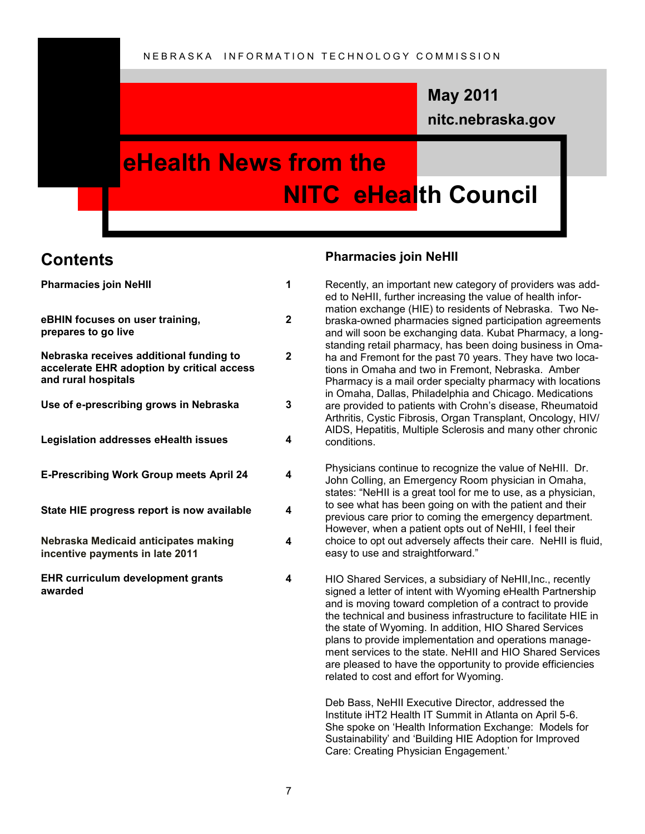### **nitc.nebraska.gov May 2011**

### **eHealth News from the NITC eHealth Council**

### **Contents**

| <b>Pharmacies join NeHII</b>                                                                                 | 1            |
|--------------------------------------------------------------------------------------------------------------|--------------|
| eBHIN focuses on user training,<br>prepares to go live                                                       | $\mathbf{2}$ |
| Nebraska receives additional funding to<br>accelerate EHR adoption by critical access<br>and rural hospitals | $\mathbf{2}$ |
| Use of e-prescribing grows in Nebraska                                                                       | 3            |
| Legislation addresses eHealth issues                                                                         | 4            |
| <b>E-Prescribing Work Group meets April 24</b>                                                               | 4            |
| State HIE progress report is now available                                                                   | 4            |
| Nebraska Medicaid anticipates making<br>incentive payments in late 2011                                      | 4            |
| <b>EHR curriculum development grants</b><br>awarded                                                          | 4            |

#### **Pharmacies join NeHII**

Recently, an important new category of providers was added to NeHII, further increasing the value of health information exchange (HIE) to residents of Nebraska. Two Nebraska-owned pharmacies signed participation agreements and will soon be exchanging data. Kubat Pharmacy, a longstanding retail pharmacy, has been doing business in Omaha and Fremont for the past 70 years. They have two locations in Omaha and two in Fremont, Nebraska. Amber Pharmacy is a mail order specialty pharmacy with locations in Omaha, Dallas, Philadelphia and Chicago. Medications are provided to patients with Crohn"s disease, Rheumatoid Arthritis, Cystic Fibrosis, Organ Transplant, Oncology, HIV/ AIDS, Hepatitis, Multiple Sclerosis and many other chronic conditions.

Physicians continue to recognize the value of NeHII. Dr. John Colling, an Emergency Room physician in Omaha, states: "NeHII is a great tool for me to use, as a physician, to see what has been going on with the patient and their previous care prior to coming the emergency department. However, when a patient opts out of NeHII, I feel their choice to opt out adversely affects their care. NeHII is fluid, easy to use and straightforward."

HIO Shared Services, a subsidiary of NeHII,Inc., recently signed a letter of intent with Wyoming eHealth Partnership and is moving toward completion of a contract to provide the technical and business infrastructure to facilitate HIE in the state of Wyoming. In addition, HIO Shared Services plans to provide implementation and operations management services to the state. NeHII and HIO Shared Services are pleased to have the opportunity to provide efficiencies related to cost and effort for Wyoming.

Deb Bass, NeHII Executive Director, addressed the Institute iHT2 Health IT Summit in Atlanta on April 5-6. She spoke on "Health Information Exchange: Models for Sustainability" and "Building HIE Adoption for Improved Care: Creating Physician Engagement."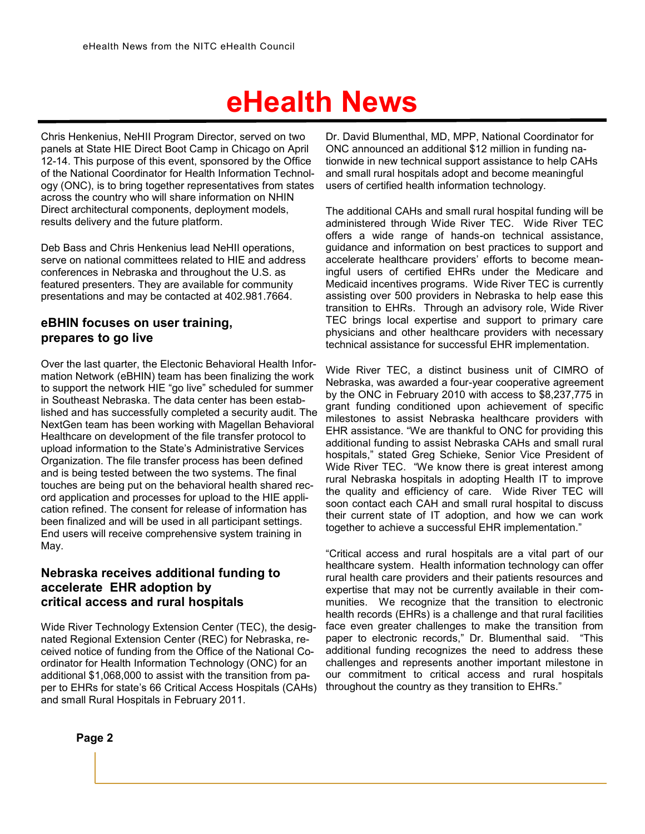Chris Henkenius, NeHII Program Director, served on two panels at State HIE Direct Boot Camp in Chicago on April 12-14. This purpose of this event, sponsored by the Office of the National Coordinator for Health Information Technology (ONC), is to bring together representatives from states across the country who will share information on NHIN Direct architectural components, deployment models, results delivery and the future platform.

Deb Bass and Chris Henkenius lead NeHII operations, serve on national committees related to HIE and address conferences in Nebraska and throughout the U.S. as featured presenters. They are available for community presentations and may be contacted at 402.981.7664.

#### **eBHIN focuses on user training, prepares to go live**

Over the last quarter, the Electonic Behavioral Health Information Network (eBHIN) team has been finalizing the work to support the network HIE "go live" scheduled for summer in Southeast Nebraska. The data center has been established and has successfully completed a security audit. The NextGen team has been working with Magellan Behavioral Healthcare on development of the file transfer protocol to upload information to the State"s Administrative Services Organization. The file transfer process has been defined and is being tested between the two systems. The final touches are being put on the behavioral health shared record application and processes for upload to the HIE application refined. The consent for release of information has been finalized and will be used in all participant settings. End users will receive comprehensive system training in May.

#### **Nebraska receives additional funding to accelerate EHR adoption by critical access and rural hospitals**

Wide River Technology Extension Center (TEC), the designated Regional Extension Center (REC) for Nebraska, received notice of funding from the Office of the National Coordinator for Health Information Technology (ONC) for an additional \$1,068,000 to assist with the transition from paper to EHRs for state's 66 Critical Access Hospitals (CAHs) and small Rural Hospitals in February 2011.

Dr. David Blumenthal, MD, MPP, National Coordinator for ONC announced an additional \$12 million in funding nationwide in new technical support assistance to help CAHs and small rural hospitals adopt and become meaningful users of certified health information technology.

The additional CAHs and small rural hospital funding will be administered through Wide River TEC. Wide River TEC offers a wide range of hands-on technical assistance, guidance and information on best practices to support and accelerate healthcare providers' efforts to become meaningful users of certified EHRs under the Medicare and Medicaid incentives programs. Wide River TEC is currently assisting over 500 providers in Nebraska to help ease this transition to EHRs. Through an advisory role, Wide River TEC brings local expertise and support to primary care physicians and other healthcare providers with necessary technical assistance for successful EHR implementation.

Wide River TEC, a distinct business unit of CIMRO of Nebraska, was awarded a four-year cooperative agreement by the ONC in February 2010 with access to \$8,237,775 in grant funding conditioned upon achievement of specific milestones to assist Nebraska healthcare providers with EHR assistance. "We are thankful to ONC for providing this additional funding to assist Nebraska CAHs and small rural hospitals," stated Greg Schieke, Senior Vice President of Wide River TEC. "We know there is great interest among rural Nebraska hospitals in adopting Health IT to improve the quality and efficiency of care. Wide River TEC will soon contact each CAH and small rural hospital to discuss their current state of IT adoption, and how we can work together to achieve a successful EHR implementation."

"Critical access and rural hospitals are a vital part of our healthcare system. Health information technology can offer rural health care providers and their patients resources and expertise that may not be currently available in their communities. We recognize that the transition to electronic health records (EHRs) is a challenge and that rural facilities face even greater challenges to make the transition from paper to electronic records," Dr. Blumenthal said. "This additional funding recognizes the need to address these challenges and represents another important milestone in our commitment to critical access and rural hospitals throughout the country as they transition to EHRs."

**Page 2**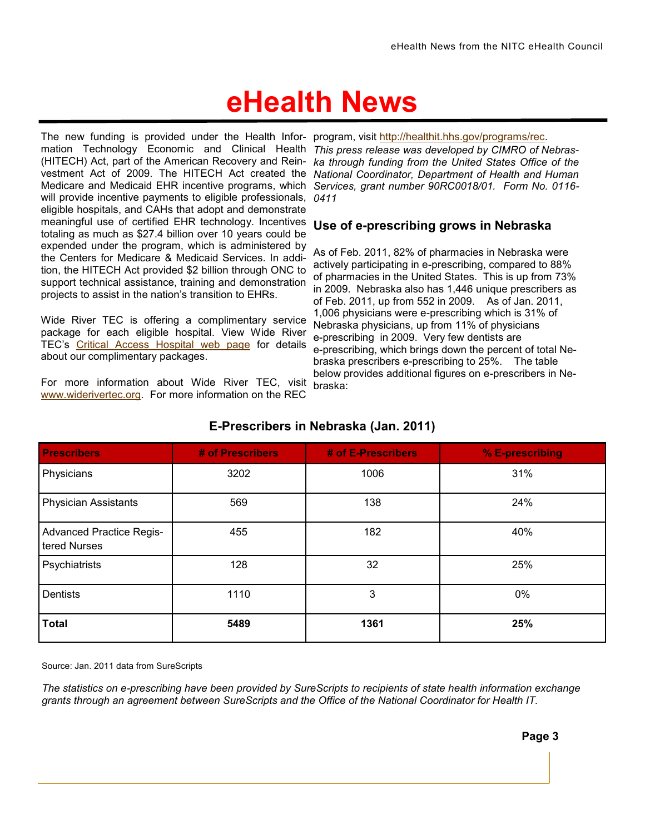The new funding is provided under the Health Infor- program, visit [http://healthit.hhs.gov/programs/rec.](http://healthit.hhs.gov/programs/rec) mation Technology Economic and Clinical Health This press release was developed by CIMRO of Nebras-(HITECH) Act, part of the American Recovery and Rein-*ka through funding from the United States Office of the*  vestment Act of 2009. The HITECH Act created the *National Coordinator, Department of Health and Human*  Medicare and Medicaid EHR incentive programs, which *Services, grant number 90RC0018/01. Form No. 0116* will provide incentive payments to eligible professionals, *0411* eligible hospitals, and CAHs that adopt and demonstrate meaningful use of certified EHR technology. Incentives totaling as much as \$27.4 billion over 10 years could be expended under the program, which is administered by the Centers for Medicare & Medicaid Services. In addition, the HITECH Act provided \$2 billion through ONC to support technical assistance, training and demonstration projects to assist in the nation"s transition to EHRs.

Wide River TEC is offering a complimentary service package for each eligible hospital. View Wide River TEC"s [Critical Access Hospital web page](http://www.widerivertec.org/home/cahs.aspx) for details about our complimentary packages.

For more information about Wide River TEC, visit [www.widerivertec.org.](http://www.widerivertec.org) For more information on the REC

#### **Use of e-prescribing grows in Nebraska**

As of Feb. 2011, 82% of pharmacies in Nebraska were actively participating in e-prescribing, compared to 88% of pharmacies in the United States. This is up from 73% in 2009. Nebraska also has 1,446 unique prescribers as of Feb. 2011, up from 552 in 2009. As of Jan. 2011, 1,006 physicians were e-prescribing which is 31% of Nebraska physicians, up from 11% of physicians e-prescribing in 2009. Very few dentists are e-prescribing, which brings down the percent of total Nebraska prescribers e-prescribing to 25%. The table below provides additional figures on e-prescribers in Nebraska:

| <b>Prescribers</b>                              | # of Prescribers | # of E-Prescribers | % E-prescribing |
|-------------------------------------------------|------------------|--------------------|-----------------|
| Physicians                                      | 3202             | 1006               | 31%             |
| <b>Physician Assistants</b>                     | 569              | 138                | 24%             |
| <b>Advanced Practice Regis-</b><br>tered Nurses | 455              | 182                | 40%             |
| Psychiatrists                                   | 128              | 32                 | 25%             |
| Dentists                                        | 1110             | 3                  | 0%              |
| <b>Total</b>                                    | 5489             | 1361               | 25%             |

#### **E-Prescribers in Nebraska (Jan. 2011)**

Source: Jan. 2011 data from SureScripts

*The statistics on e-prescribing have been provided by SureScripts to recipients of state health information exchange grants through an agreement between SureScripts and the Office of the National Coordinator for Health IT.*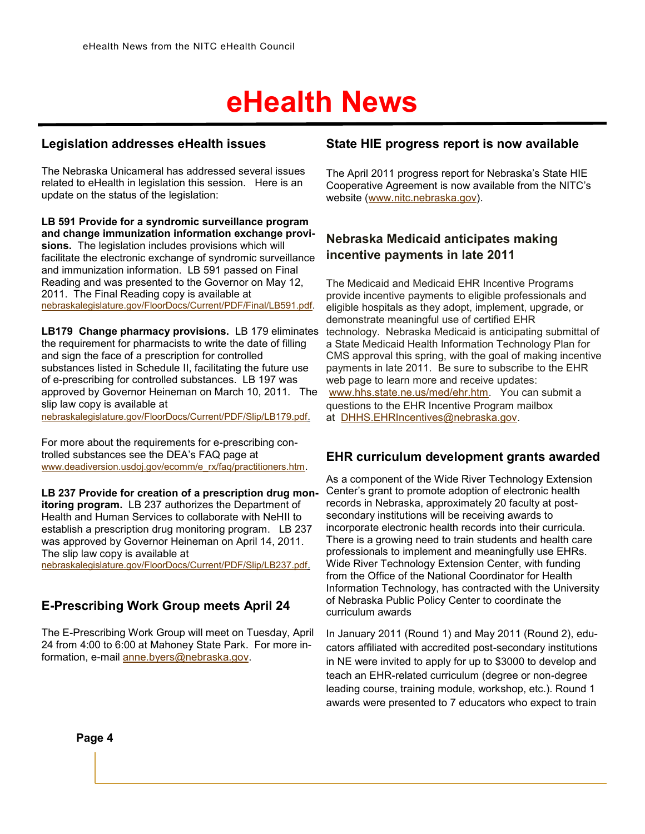#### **Legislation addresses eHealth issues**

The Nebraska Unicameral has addressed several issues related to eHealth in legislation this session. Here is an update on the status of the legislation:

**LB 591 Provide for a syndromic surveillance program and change immunization information exchange provisions.** The legislation includes provisions which will facilitate the electronic exchange of syndromic surveillance and immunization information. LB 591 passed on Final Reading and was presented to the Governor on May 12, 2011. The Final Reading copy is available at [nebraskalegislature.gov/FloorDocs/Current/PDF/Final/LB591.pdf.](http://nebraskalegislature.gov/FloorDocs/Current/PDF/Final/LB591.pdf)

**LB179 Change pharmacy provisions.** LB 179 eliminates the requirement for pharmacists to write the date of filling and sign the face of a prescription for controlled substances listed in Schedule II, facilitating the future use of e-prescribing for controlled substances. LB 197 was approved by Governor Heineman on March 10, 2011. The slip law copy is available at

[nebraskalegislature.gov/FloorDocs/Current/PDF/Slip/LB179.pdf.](http://nebraskalegislature.gov/FloorDocs/Current/PDF/Slip/LB179.pdf)

For more about the requirements for e-prescribing controlled substances see the DEA"s FAQ page at [www.deadiversion.usdoj.gov/ecomm/e\\_rx/faq/practitioners.htm](http://www.deadiversion.usdoj.gov/ecomm/e_rx/faq/practitioners.htm).

**LB 237 Provide for creation of a prescription drug monitoring program.** LB 237 authorizes the Department of Health and Human Services to collaborate with NeHII to establish a prescription drug monitoring program. LB 237 was approved by Governor Heineman on April 14, 2011. The slip law copy is available at [nebraskalegislature.gov/FloorDocs/Current/PDF/Slip/LB237.pdf.](http://nebraskalegislature.gov/FloorDocs/Current/PDF/Slip/LB237.pdf)

#### **E-Prescribing Work Group meets April 24**

The E-Prescribing Work Group will meet on Tuesday, April 24 from 4:00 to 6:00 at Mahoney State Park. For more information, e-mail [anne.byers@nebraska.gov.](mailto:anne.byers@nebraska.gov)

#### **State HIE progress report is now available**

The April 2011 progress report for Nebraska's State HIE Cooperative Agreement is now available from the NITC"s website ([www.nitc.nebraska.gov\).](http://www.nitc.nebraska.gov)

#### **Nebraska Medicaid anticipates making incentive payments in late 2011**

The Medicaid and Medicaid EHR Incentive Programs provide incentive payments to eligible professionals and eligible hospitals as they adopt, implement, upgrade, or demonstrate meaningful use of certified EHR technology. Nebraska Medicaid is anticipating submittal of a State Medicaid Health Information Technology Plan for CMS approval this spring, with the goal of making incentive payments in late 2011. Be sure to subscribe to the EHR web page to learn more and receive updates: [www.hhs.state.ne.us/med/ehr.htm.](http://www.hhs.state.ne.us/med/ehr.htm) You can submit a questions to the EHR Incentive Program mailbox at [DHHS.EHRIncentives@nebraska.gov.](mailto:DHHS.EHRIncentives@nebraska.gov) 

#### **EHR curriculum development grants awarded**

As a component of the Wide River Technology Extension Center"s grant to promote adoption of electronic health records in Nebraska, approximately 20 faculty at postsecondary institutions will be receiving awards to incorporate electronic health records into their curricula. There is a growing need to train students and health care professionals to implement and meaningfully use EHRs. Wide River Technology Extension Center, with funding from the Office of the National Coordinator for Health Information Technology, has contracted with the University of Nebraska Public Policy Center to coordinate the curriculum awards

In January 2011 (Round 1) and May 2011 (Round 2), educators affiliated with accredited post-secondary institutions in NE were invited to apply for up to \$3000 to develop and teach an EHR-related curriculum (degree or non-degree leading course, training module, workshop, etc.). Round 1 awards were presented to 7 educators who expect to train

**Page 4**